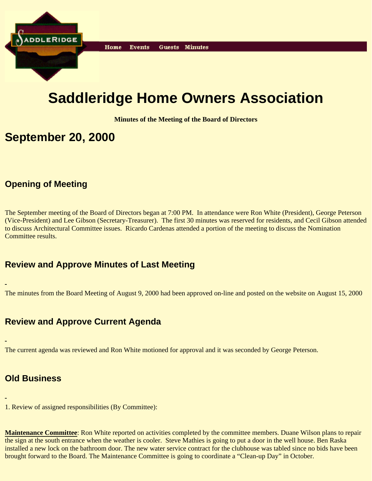

# **Saddleridge Home Owners Association**

**Minutes of the Meeting of the Board of Directors**

### **September 20, 2000**

#### **Opening of Meeting**

The September meeting of the Board of Directors began at 7:00 PM. In attendance were Ron White (President), George Peterson (Vice-President) and Lee Gibson (Secretary-Treasurer). The first 30 minutes was reserved for residents, and Cecil Gibson attended to discuss Architectural Committee issues. Ricardo Cardenas attended a portion of the meeting to discuss the Nomination Committee results.

#### **Review and Approve Minutes of Last Meeting**

The minutes from the Board Meeting of August 9, 2000 had been approved on-line and posted on the website on August 15, 2000

### **Review and Approve Current Agenda**

The current agenda was reviewed and Ron White motioned for approval and it was seconded by George Peterson.

### **Old Business**

1. Review of assigned responsibilities (By Committee):

**Maintenance Committee**: Ron White reported on activities completed by the committee members. Duane Wilson plans to repair the sign at the south entrance when the weather is cooler. Steve Mathies is going to put a door in the well house. Ben Raska installed a new lock on the bathroom door. The new water service contract for the clubhouse was tabled since no bids have been brought forward to the Board. The Maintenance Committee is going to coordinate a "Clean-up Day" in October.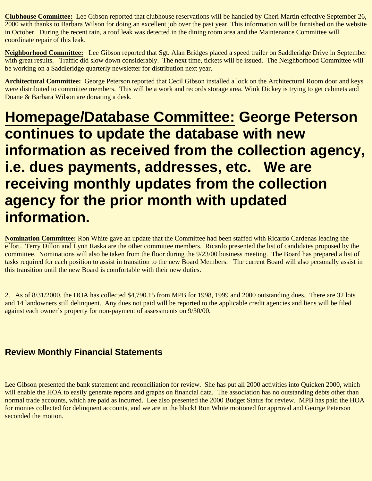**Clubhouse Committee:** Lee Gibson reported that clubhouse reservations will be handled by Cheri Martin effective September 26, 2000 with thanks to Barbara Wilson for doing an excellent job over the past year. This information will be furnished on the website in October. During the recent rain, a roof leak was detected in the dining room area and the Maintenance Committee will coordinate repair of this leak.

**Neighborhood Committee:** Lee Gibson reported that Sgt. Alan Bridges placed a speed trailer on Saddleridge Drive in September with great results. Traffic did slow down considerably. The next time, tickets will be issued. The Neighborhood Committee will be working on a Saddleridge quarterly newsletter for distribution next year.

**Architectural Committee:** George Peterson reported that Cecil Gibson installed a lock on the Architectural Room door and keys were distributed to committee members. This will be a work and records storage area. Wink Dickey is trying to get cabinets and Duane & Barbara Wilson are donating a desk.

# **Homepage/Database Committee: George Peterson continues to update the database with new information as received from the collection agency, i.e. dues payments, addresses, etc. We are receiving monthly updates from the collection agency for the prior month with updated information.**

**Nomination Committee:** Ron White gave an update that the Committee had been staffed with Ricardo Cardenas leading the effort. Terry Dillon and Lynn Raska are the other committee members. Ricardo presented the list of candidates proposed by the committee. Nominations will also be taken from the floor during the 9/23/00 business meeting. The Board has prepared a list of tasks required for each position to assist in transition to the new Board Members. The current Board will also personally assist in this transition until the new Board is comfortable with their new duties.

2. As of 8/31/2000, the HOA has collected \$4,790.15 from MPB for 1998, 1999 and 2000 outstanding dues. There are 32 lots and 14 landowners still delinquent. Any dues not paid will be reported to the applicable credit agencies and liens will be filed against each owner's property for non-payment of assessments on 9/30/00.

### **Review Monthly Financial Statements**

Lee Gibson presented the bank statement and reconciliation for review. She has put all 2000 activities into Quicken 2000, which will enable the HOA to easily generate reports and graphs on financial data. The association has no outstanding debts other than normal trade accounts, which are paid as incurred. Lee also presented the 2000 Budget Status for review. MPB has paid the HOA for monies collected for delinquent accounts, and we are in the black! Ron White motioned for approval and George Peterson seconded the motion.